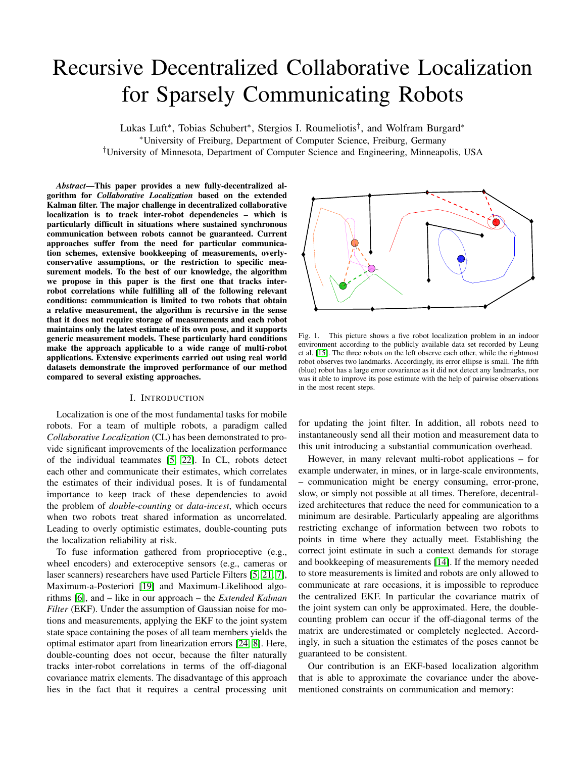# Recursive Decentralized Collaborative Localization for Sparsely Communicating Robots

Lukas Luft<sup>∗</sup> , Tobias Schubert<sup>∗</sup> , Stergios I. Roumeliotis† , and Wolfram Burgard<sup>∗</sup> <sup>∗</sup>University of Freiburg, Department of Computer Science, Freiburg, Germany †University of Minnesota, Department of Computer Science and Engineering, Minneapolis, USA

*Abstract*—This paper provides a new fully-decentralized algorithm for *Collaborative Localization* based on the extended Kalman filter. The major challenge in decentralized collaborative localization is to track inter-robot dependencies – which is particularly difficult in situations where sustained synchronous communication between robots cannot be guaranteed. Current approaches suffer from the need for particular communication schemes, extensive bookkeeping of measurements, overlyconservative assumptions, or the restriction to specific measurement models. To the best of our knowledge, the algorithm we propose in this paper is the first one that tracks interrobot correlations while fulfilling all of the following relevant conditions: communication is limited to two robots that obtain a relative measurement, the algorithm is recursive in the sense that it does not require storage of measurements and each robot maintains only the latest estimate of its own pose, and it supports generic measurement models. These particularly hard conditions make the approach applicable to a wide range of multi-robot applications. Extensive experiments carried out using real world datasets demonstrate the improved performance of our method compared to several existing approaches.

## I. INTRODUCTION

Localization is one of the most fundamental tasks for mobile robots. For a team of multiple robots, a paradigm called *Collaborative Localization* (CL) has been demonstrated to provide significant improvements of the localization performance of the individual teammates [\[5,](#page-8-0) [22\]](#page-8-1). In CL, robots detect each other and communicate their estimates, which correlates the estimates of their individual poses. It is of fundamental importance to keep track of these dependencies to avoid the problem of *double-counting* or *data-incest*, which occurs when two robots treat shared information as uncorrelated. Leading to overly optimistic estimates, double-counting puts the localization reliability at risk.

To fuse information gathered from proprioceptive (e.g., wheel encoders) and exteroceptive sensors (e.g., cameras or laser scanners) researchers have used Particle Filters [\[5,](#page-8-0) [21,](#page-8-2) [7\]](#page-8-3), Maximum-a-Posteriori [\[19\]](#page-8-4) and Maximum-Likelihood algorithms [\[6\]](#page-8-5), and – like in our approach – the *Extended Kalman Filter* (EKF). Under the assumption of Gaussian noise for motions and measurements, applying the EKF to the joint system state space containing the poses of all team members yields the optimal estimator apart from linearization errors [\[24,](#page-8-6) [8\]](#page-8-7). Here, double-counting does not occur, because the filter naturally tracks inter-robot correlations in terms of the off-diagonal covariance matrix elements. The disadvantage of this approach lies in the fact that it requires a central processing unit



<span id="page-0-0"></span>Fig. 1. This picture shows a five robot localization problem in an indoor environment according to the publicly available data set recorded by Leung et al. [\[15\]](#page-8-8). The three robots on the left observe each other, while the rightmost robot observes two landmarks. Accordingly, its error ellipse is small. The fifth (blue) robot has a large error covariance as it did not detect any landmarks, nor was it able to improve its pose estimate with the help of pairwise observations in the most recent steps.

for updating the joint filter. In addition, all robots need to instantaneously send all their motion and measurement data to this unit introducing a substantial communication overhead.

However, in many relevant multi-robot applications – for example underwater, in mines, or in large-scale environments, – communication might be energy consuming, error-prone, slow, or simply not possible at all times. Therefore, decentralized architectures that reduce the need for communication to a minimum are desirable. Particularly appealing are algorithms restricting exchange of information between two robots to points in time where they actually meet. Establishing the correct joint estimate in such a context demands for storage and bookkeeping of measurements [\[14\]](#page-8-9). If the memory needed to store measurements is limited and robots are only allowed to communicate at rare occasions, it is impossible to reproduce the centralized EKF. In particular the covariance matrix of the joint system can only be approximated. Here, the doublecounting problem can occur if the off-diagonal terms of the matrix are underestimated or completely neglected. Accordingly, in such a situation the estimates of the poses cannot be guaranteed to be consistent.

Our contribution is an EKF-based localization algorithm that is able to approximate the covariance under the abovementioned constraints on communication and memory: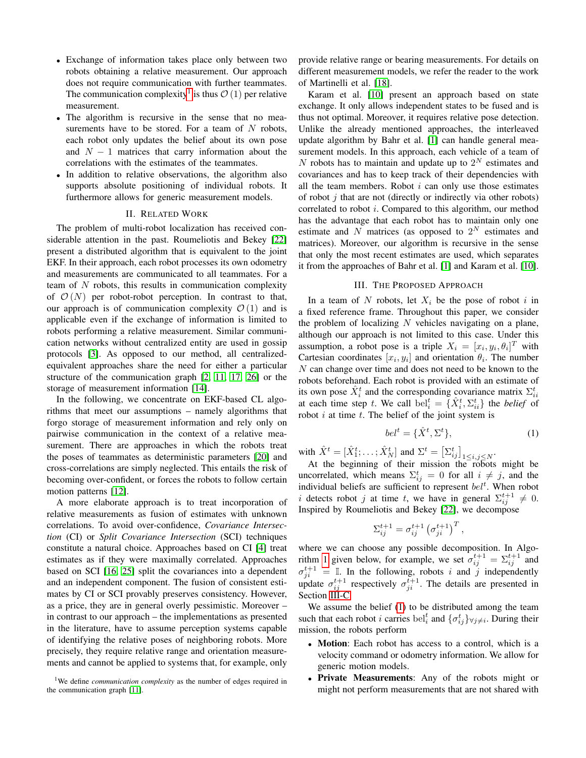- Exchange of information takes place only between two robots obtaining a relative measurement. Our approach does not require communication with further teammates. The communication complexity<sup>[1](#page-1-0)</sup> is thus  $\mathcal{O}(1)$  per relative measurement.
- The algorithm is recursive in the sense that no measurements have to be stored. For a team of  $N$  robots, each robot only updates the belief about its own pose and  $N - 1$  matrices that carry information about the correlations with the estimates of the teammates.
- In addition to relative observations, the algorithm also supports absolute positioning of individual robots. It furthermore allows for generic measurement models.

#### II. RELATED WORK

The problem of multi-robot localization has received considerable attention in the past. Roumeliotis and Bekey [\[22\]](#page-8-1) present a distributed algorithm that is equivalent to the joint EKF. In their approach, each robot processes its own odometry and measurements are communicated to all teammates. For a team of  $N$  robots, this results in communication complexity of  $\mathcal{O}(N)$  per robot-robot perception. In contrast to that, our approach is of communication complexity  $\mathcal{O}(1)$  and is applicable even if the exchange of information is limited to robots performing a relative measurement. Similar communication networks without centralized entity are used in gossip protocols [\[3\]](#page-8-10). As opposed to our method, all centralizedequivalent approaches share the need for either a particular structure of the communication graph [\[2,](#page-8-11) [11,](#page-8-12) [17,](#page-8-13) [26\]](#page-8-14) or the storage of measurement information [\[14\]](#page-8-9).

In the following, we concentrate on EKF-based CL algorithms that meet our assumptions – namely algorithms that forgo storage of measurement information and rely only on pairwise communication in the context of a relative measurement. There are approaches in which the robots treat the poses of teammates as deterministic parameters [\[20\]](#page-8-15) and cross-correlations are simply neglected. This entails the risk of becoming over-confident, or forces the robots to follow certain motion patterns [\[12\]](#page-8-16).

A more elaborate approach is to treat incorporation of relative measurements as fusion of estimates with unknown correlations. To avoid over-confidence, *Covariance Intersection* (CI) or *Split Covariance Intersection* (SCI) techniques constitute a natural choice. Approaches based on CI [\[4\]](#page-8-17) treat estimates as if they were maximally correlated. Approaches based on SCI [\[16,](#page-8-18) [25\]](#page-8-19) split the covariances into a dependent and an independent component. The fusion of consistent estimates by CI or SCI provably preserves consistency. However, as a price, they are in general overly pessimistic. Moreover – in contrast to our approach – the implementations as presented in the literature, have to assume perception systems capable of identifying the relative poses of neighboring robots. More precisely, they require relative range and orientation measurements and cannot be applied to systems that, for example, only provide relative range or bearing measurements. For details on different measurement models, we refer the reader to the work of Martinelli et al. [\[18\]](#page-8-20).

Karam et al. [\[10\]](#page-8-21) present an approach based on state exchange. It only allows independent states to be fused and is thus not optimal. Moreover, it requires relative pose detection. Unlike the already mentioned approaches, the interleaved update algorithm by Bahr et al. [\[1\]](#page-8-22) can handle general measurement models. In this approach, each vehicle of a team of N robots has to maintain and update up to  $2^N$  estimates and covariances and has to keep track of their dependencies with all the team members. Robot  $i$  can only use those estimates of robot  $i$  that are not (directly or indirectly via other robots) correlated to robot *i*. Compared to this algorithm, our method has the advantage that each robot has to maintain only one estimate and N matrices (as opposed to  $2^N$  estimates and matrices). Moreover, our algorithm is recursive in the sense that only the most recent estimates are used, which separates it from the approaches of Bahr et al. [\[1\]](#page-8-22) and Karam et al. [\[10\]](#page-8-21).

#### III. THE PROPOSED APPROACH

In a team of N robots, let  $X_i$  be the pose of robot i in a fixed reference frame. Throughout this paper, we consider the problem of localizing  $N$  vehicles navigating on a plane, although our approach is not limited to this case. Under this assumption, a robot pose is a triple  $X_i = [x_i, y_i, \theta_i]^T$  with Cartesian coordinates  $[x_i, y_i]$  and orientation  $\theta_i$ . The number  $N$  can change over time and does not need to be known to the robots beforehand. Each robot is provided with an estimate of its own pose  $\hat{X}_i^t$  and the corresponding covariance matrix  $\Sigma_{ii}^t$ at each time step t. We call  $\text{bel}_i^t = \{ \hat{X}_i^t, \Sigma_{ii}^t \}$  the *belief* of robot  $i$  at time  $t$ . The belief of the joint system is

<span id="page-1-1"></span>
$$
bel^t = \{ \hat{X}^t, \Sigma^t \},\tag{1}
$$

with  $\hat{X}^t = [\hat{X}_1^t; \dots; \hat{X}_N^t]$  and  $\Sigma^t = [\Sigma_{ij}^t]_{1 \le i, j \le N}$ .

At the beginning of their mission the robots might be uncorrelated, which means  $\Sigma_{ij}^t = 0$  for all  $i \neq j$ , and the individual beliefs are sufficient to represent  $bel<sup>t</sup>$ . When robot i detects robot j at time t, we have in general  $\Sigma_{ij}^{t+1} \neq 0$ . Inspired by Roumeliotis and Bekey [\[22\]](#page-8-1), we decompose

$$
\Sigma_{ij}^{t+1} = \sigma_{ij}^{t+1} \left( \sigma_{ji}^{t+1} \right)^T,
$$

where we can choose any possible decomposition. In Algo-rithm [1](#page-2-0) given below, for example, we set  $\sigma_{ij}^{t+1} = \sum_{ij}^{t+1}$  and  $\sigma_{ji}^{t+1} = \mathbb{I}$ . In the following, robots i and j independently update  $\sigma_{ij}^{t+1}$  respectively  $\sigma_{ji}^{t+1}$ . The details are presented in Section [III-C.](#page-3-0)

We assume the belief [\(1\)](#page-1-1) to be distributed among the team such that each robot *i* carries bel<sup>t</sup><sub>i</sub> and  $\{\sigma_{ij}^t\}_{\forall j\neq i}$ . During their mission, the robots perform

- Motion: Each robot has access to a control, which is a velocity command or odometry information. We allow for generic motion models.
- Private Measurements: Any of the robots might or might not perform measurements that are not shared with

<span id="page-1-0"></span><sup>&</sup>lt;sup>1</sup>We define *communication complexity* as the number of edges required in the communication graph [\[11\]](#page-8-12).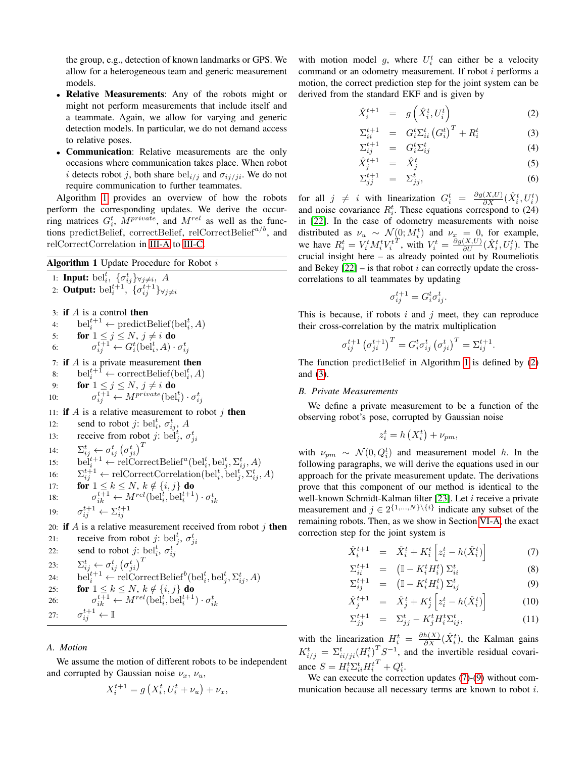the group, e.g., detection of known landmarks or GPS. We allow for a heterogeneous team and generic measurement models.

- Relative Measurements: Any of the robots might or might not perform measurements that include itself and a teammate. Again, we allow for varying and generic detection models. In particular, we do not demand access to relative poses.
- Communication: Relative measurements are the only occasions where communication takes place. When robot i detects robot j, both share  $bel_{i/j}$  and  $\sigma_{ij/ji}$ . We do not require communication to further teammates.

Algorithm [1](#page-2-0) provides an overview of how the robots perform the corresponding updates. We derive the occurring matrices  $G_i^t$ ,  $M^{private}$ , and  $M^{rel}$  as well as the functions predictBelief, correctBelief, relCorrectBelief<sup> $a/b$ </sup>, and relCorrectCorrelation in [III-A](#page-2-1) to [III-C.](#page-3-0)

# <span id="page-2-0"></span>Algorithm 1 Update Procedure for Robot i

1: Input:  $bel_i^t$ ,  $\{\sigma_{ij}^t\}_{\forall j\neq i}$ , A 2: Output:  $\text{bel}^{t+1}_i$ ,  $\{\sigma^{t+1}_{ij}\}_{\forall j\neq i}$ 3: if  $A$  is a control then 4:  $\text{bel}^{t+1}_i \leftarrow \text{predictBelief}(\text{bel}^t_i, A)$ 5: **for**  $1 \leq j \leq N$ ,  $j \neq i$  **do** 6:  $\sigma_{ij}^{t+1} \leftarrow G_i^t(\text{bel}_i^t, A) \cdot \sigma_{ij}^t$ 7: if  $A$  is a private measurement then 8:  $\text{bel}^{t+1}_i \leftarrow \text{correctBelief}(\text{bel}^t_i, A)$ 9: **for**  $1 \leq j \leq N$ ,  $j \neq i$  **do** 10:  $\sigma_{ij}^{t+1} \leftarrow M^{private}(\text{bel}_i^t) \cdot \sigma_{ij}^t$ 11: if  $A$  is a relative measurement to robot  $j$  then 12: send to robot *j*: bel<sup>*t*</sup>,  $\sigma_{ij}^t$ , *A* 13: receive from robot j: bel<sup>t</sup><sub>j</sub>,  $\sigma_{ji}^t$ 14:  $\Sigma_{ij}^t \leftarrow \sigma_{ij}^t \left(\sigma_{ji}^t\right)^T$ 15: bel<sup>t+1</sup>  $\leftarrow$  relCorrectBelief<sup>a</sup>(bel<sup>t</sup><sub>i</sub></sub>, bel<sup>t</sup><sub>j</sub>,  $\Sigma_{ij}^t$ , A) 16:  $\Sigma_{ij}^{t+1} \leftarrow \text{relCorrectCorrelation}(\text{bel}_i^t, \text{bel}_j^t, \Sigma_{ij}^t, A)$ 17: **for**  $1 \leq k \leq N$ ,  $k \notin \{i, j\}$  do 18:  $\sigma_{ik}^{t+1} \leftarrow M^{rel}(\text{bel}_i^t, \text{bel}_i^{t+1}) \cdot \sigma_{ik}^t$ 19:  $\sigma_{ij}^{t+1} \leftarrow \Sigma_{ij}^{t+1}$ 20: if  $A$  is a relative measurement received from robot  $j$  then 21: receive from robot j: bel<sup>t</sup><sub>j</sub>,  $\sigma_{ji}^t$ 22: send to robot *j*: bel<sup>t</sup><sub>*i*</sub>,  $\sigma_{ij}^t$ 23:  $\Sigma_{ij}^t \leftarrow \sigma_{ij}^t \left(\sigma_{ji}^t\right)^T$ 24:  $\text{bel}^{t+1}_i \leftarrow \text{relCorrectBelief}^b(\text{bel}^t_i, \text{bel}^t_j, \Sigma^t_{ij}, A)$ 25: **for**  $1 \leq k \leq N$ ,  $k \notin \{i, j\}$  do 26:  $\sigma_{ik}^{t+1} \leftarrow M^{rel}(\text{bel}_i^t, \text{bel}_i^{t+1}) \cdot \sigma_{ik}^t$ 27:  $\sigma^{t+1}_{ij} \leftarrow \mathbb{I}$ 

## <span id="page-2-1"></span>*A. Motion*

We assume the motion of different robots to be independent and corrupted by Gaussian noise  $\nu_x$ ,  $\nu_u$ ,

$$
X_i^{t+1} = g\left(X_i^t, U_i^t + \nu_u\right) + \nu_x,
$$

with motion model g, where  $U_i^t$  can either be a velocity command or an odometry measurement. If robot  $i$  performs a motion, the correct prediction step for the joint system can be derived from the standard EKF and is given by

<span id="page-2-2"></span>
$$
\hat{X}_i^{t+1} = g\left(\hat{X}_i^t, U_i^t\right) \tag{2}
$$

$$
\Sigma_{ii}^{t+1} = G_i^t \Sigma_{ii}^t (G_i^t)^T + R_i^t \tag{3}
$$

$$
\Sigma_{ij}^{t+1} = G_i^t \Sigma_{ij}^t \tag{4}
$$

$$
\hat{X}_j^{t+1} = \hat{X}_j^t \tag{5}
$$

$$
\Sigma_{jj}^{t+1} = \Sigma_{jj}^t,\tag{6}
$$

for all  $j \neq i$  with linearization  $G_i^t = \frac{\partial g(X, U)}{\partial X} (\hat{X}_i^t, U_i^t)$ and noise covariance  $R_i^t$ . These equations correspond to (24) in [\[22\]](#page-8-1). In the case of odometry measurements with noise distributed as  $\nu_u \sim \mathcal{N}(0; M_i^t)$  and  $\nu_x = 0$ , for example, we have  $R_i^t = V_i^t M_i^t V_i^{tT}$ , with <sup>T</sup>, with  $V_i^t = \frac{\partial g(X,U)}{\partial U} (\hat{X}_i^t, U_i^t)$ . The crucial insight here – as already pointed out by Roumeliotis and Bekey  $[22]$  – is that robot i can correctly update the crosscorrelations to all teammates by updating

$$
\sigma_{ij}^{t+1} = G_i^t \sigma_{ij}^t.
$$

This is because, if robots  $i$  and  $j$  meet, they can reproduce their cross-correlation by the matrix multiplication

$$
\sigma_{ij}^{t+1} (\sigma_{ji}^{t+1})^T = G_i^t \sigma_{ij}^t (\sigma_{ji}^t)^T = \Sigma_{ij}^{t+1}.
$$

The function predictBelief in Algorithm [1](#page-2-0) is defined by [\(2\)](#page-2-2) and [\(3\)](#page-2-2).

#### <span id="page-2-4"></span>*B. Private Measurements*

We define a private measurement to be a function of the observing robot's pose, corrupted by Gaussian noise

$$
z_i^t = h\left(X_i^t\right) + \nu_{pm},
$$

with  $\nu_{pm} \sim \mathcal{N}(0, Q_i^t)$  and measurement model h. In the following paragraphs, we will derive the equations used in our approach for the private measurement update. The derivations prove that this component of our method is identical to the well-known Schmidt-Kalman filter [\[23\]](#page-8-23). Let  $i$  receive a private measurement and  $j \in 2^{\{1,...,N\}\setminus\{i\}}$  indicate any subset of the remaining robots. Then, as we show in Section [VI-A,](#page-6-0) the exact correction step for the joint system is

<span id="page-2-3"></span>
$$
\hat{X}_i^{t+1} = \hat{X}_i^t + K_i^t \left[ z_i^t - h(\hat{X}_i^t) \right] \tag{7}
$$

$$
\Sigma_{ii}^{t+1} = \left(\mathbb{I} - K_i^t H_i^t\right) \Sigma_{ii}^t
$$
\n
$$
\Sigma_{i}^{t+1} = \left(\mathbb{I} - K_i^t H_i^t\right) \Sigma_{ii}^t
$$
\n(8)

$$
\Sigma_{ij}^{t+1} = \left( \mathbb{I} - K_i^t H_i^t \right) \Sigma_{ij}^t \tag{9}
$$

$$
\hat{X}_j^{t+1} = \hat{X}_j^t + K_j^t \left[ z_i^t - h(\hat{X}_i^t) \right]
$$
\n
$$
X_j^{t+1} = \hat{X}_j^t + K_j^t \left[ z_i^t - h(\hat{X}_i^t) \right]
$$
\n(10)

$$
\Sigma_{jj}^{t+1} = \Sigma_{jj}^t - K_j^t H_i^t \Sigma_{ij}^t, \tag{11}
$$

with the linearization  $H_i^t = \frac{\partial h(X)}{\partial X} (\hat{X}_i^t)$ , the Kalman gains  $K_{i/j}^{t} = \sum_{ii/ji}^{t} (H_{i}^{t})^{T} S^{-1}$ , and the invertible residual covariance  $S = H_i^t \Sigma_{ii}^t H_i^{tT} + Q_i^t$ .

We can execute the correction updates [\(7\)](#page-2-3)-[\(9\)](#page-2-3) without communication because all necessary terms are known to robot i.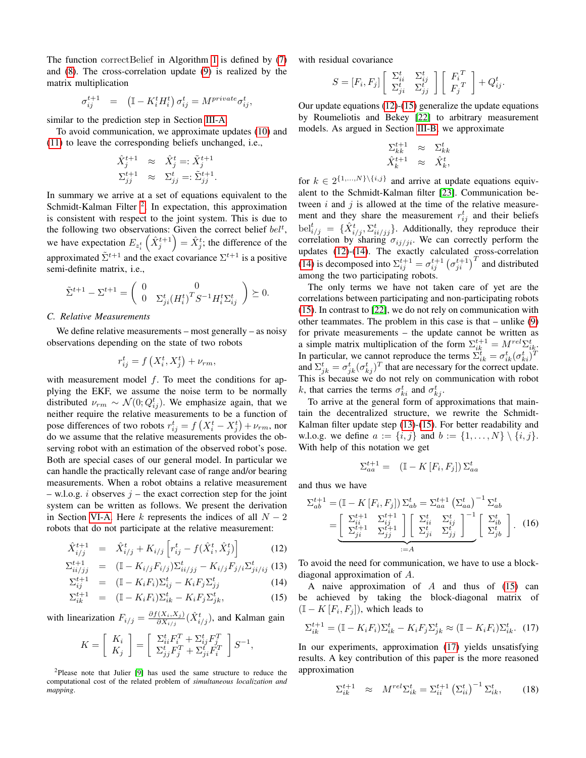The function correctBelief in Algorithm [1](#page-2-0) is defined by [\(7\)](#page-2-3) and [\(8\)](#page-2-3). The cross-correlation update [\(9\)](#page-2-3) is realized by the matrix multiplication

$$
\sigma^{t+1}_{ij} \quad = \quad \left( \mathbb{I} - K^t_i H^t_i \right) \sigma^t_{ij} = M^{private} \sigma^t_{ij},
$$

similar to the prediction step in Section [III-A.](#page-2-1)

To avoid communication, we approximate updates [\(10\)](#page-2-3) and [\(11\)](#page-2-3) to leave the corresponding beliefs unchanged, i.e.,

$$
\begin{array}{rcl} \hat{X}^{t+1}_j & \approx & \hat{X}^t_j =: \tilde{X}^{t+1}_j \\ \Sigma^{t+1}_{jj} & \approx & \Sigma^t_{jj} =: \tilde{\Sigma}^{t+1}_{jj}. \end{array}
$$

In summary we arrive at a set of equations equivalent to the Schmidt-Kalman Filter<sup>[2](#page-3-1)</sup>. In expectation, this approximation is consistent with respect to the joint system. This is due to the following two observations: Given the correct belief  $bel<sup>t</sup>$ , we have expectation  $E_{z_i^t}(\hat{X}_j^{t+1}) = \hat{X}_j^t$ ; the difference of the approximated  $\tilde{\Sigma}^{t+1}$  and the exact covariance  $\Sigma^{t+1}$  is a positive semi-definite matrix, i.e.,

$$
\tilde{\Sigma}^{t+1} - \Sigma^{t+1} = \begin{pmatrix} 0 & 0 \\ 0 & \Sigma_{ji}^t (H_i^t)^T S^{-1} H_i^t \Sigma_{ij}^t \end{pmatrix} \succeq 0.
$$

## <span id="page-3-0"></span>*C. Relative Measurements*

We define relative measurements – most generally – as noisy observations depending on the state of two robots

$$
r_{ij}^t = f\left(X_i^t, X_j^t\right) + \nu_{rm},
$$

with measurement model  $f$ . To meet the conditions for applying the EKF, we assume the noise term to be normally distributed  $\nu_{rm} \sim \mathcal{N}(0; Q^t_{ij})$ . We emphasize again, that we neither require the relative measurements to be a function of pose differences of two robots  $r_{ij}^t = f\left(X_i^t - X_j^t\right) + \nu_{rm}$ , nor do we assume that the relative measurements provides the observing robot with an estimation of the observed robot's pose. Both are special cases of our general model. In particular we can handle the practically relevant case of range and/or bearing measurements. When a robot obtains a relative measurement – w.l.o.g. i observes  $j$  – the exact correction step for the joint system can be written as follows. We present the derivation in Section [VI-A.](#page-6-0) Here k represents the indices of all  $N-2$ robots that do not participate at the relative measurement:

<span id="page-3-2"></span>
$$
\hat{X}_{i/j}^{t+1} = \hat{X}_{i/j}^{t} + K_{i/j} \left[ r_{ij}^{t} - f(\hat{X}_{i}^{t}, \hat{X}_{j}^{t}) \right]
$$
(12)

$$
\Sigma_{ii/jj}^{t+1} = (\mathbb{I} - K_{i/j} F_{i/j}) \Sigma_{ii/jj}^{t} - K_{i/j} F_{j/i} \Sigma_{ji/ij}^{t} (13)
$$

$$
\Sigma_{ij}^{t+1} = (\mathbb{I} - K_i F_i) \Sigma_{ij}^t - K_i F_j \Sigma_{jj}^t \tag{14}
$$

$$
\Sigma_{ik}^{t+1} = (\mathbb{I} - K_i F_i) \Sigma_{ik}^t - K_i F_j \Sigma_{jk}^t, \qquad (15)
$$

with linearization  $F_{i/j} = \frac{\partial f(X_i, X_j)}{\partial X_{i/j}}$  $\frac{\hat{c}(X_i, X_j)}{\partial X_{i/j}}(\hat{X}_{i/j}^t)$ , and Kalman gain

$$
K = \left[ \begin{array}{c} K_i \\ K_j \end{array} \right] = \left[ \begin{array}{c} \Sigma_{ii}^t F_i^T + \Sigma_{ij}^t F_j^T \\ \Sigma_{jj}^t F_j^T + \Sigma_{ji}^t F_i^T \end{array} \right] S^{-1},
$$

<span id="page-3-1"></span><sup>2</sup>Please note that Julier [\[9\]](#page-8-24) has used the same structure to reduce the computational cost of the related problem of *simultaneous localization and mapping*.

with residual covariance

$$
S = [F_i, F_j] \left[ \begin{array}{cc} \Sigma_{ii}^t & \Sigma_{ij}^t \\ \Sigma_{ji}^t & \Sigma_{jj}^t \end{array} \right] \left[ \begin{array}{c} F_i^T \\ F_j^T \end{array} \right] + Q_{ij}^t.
$$

Our update equations [\(12\)](#page-3-2)-[\(15\)](#page-3-2) generalize the update equations by Roumeliotis and Bekey [\[22\]](#page-8-1) to arbitrary measurement models. As argued in Section [III-B,](#page-2-4) we approximate

$$
\begin{array}{ccc}\Sigma_{kk}^{t+1} & \approx & \Sigma_{kk}^t\\ \hat{X}_k^{t+1} & \approx & \hat{X}_k^t, \end{array}
$$

for  $k \in 2^{\{1,...,N\}\setminus\{i,j\}}$  and arrive at update equations equivalent to the Schmidt-Kalman filter [\[23\]](#page-8-23). Communication between  $i$  and  $j$  is allowed at the time of the relative measurement and they share the measurement  $r_{ij}^t$  and their beliefs  $\text{bel}^t_{i/j} = \{ \hat{X}_{i/j}^t, \sum_{i i/j j}^t \}$ . Additionally, they reproduce their correlation by sharing  $\sigma_{ij/ji}$ . We can correctly perform the updates  $(12)-(14)$  $(12)-(14)$  $(12)-(14)$ . The exactly calculated cross-correlation [\(14\)](#page-3-2) is decomposed into  $\Sigma_{ij}^{t+1} = \sigma_{ij}^{t+1} (\sigma_{ji}^{t+1})^T$  and distributed among the two participating robots.

The only terms we have not taken care of yet are the correlations between participating and non-participating robots [\(15\)](#page-3-2). In contrast to [\[22\]](#page-8-1), we do not rely on communication with other teammates. The problem in this case is that – unlike [\(9\)](#page-2-3) for private measurements – the update cannot be written as a simple matrix multiplication of the form  $\Sigma_{ik}^{t+1} = M^{rel} \Sigma_{ik}^{t}$ . In particular, we cannot reproduce the terms  $\sum_{ik}^{t} = \sigma_{ik}^{t} (\sigma_{ki}^{t})^{T}$ and  $\Sigma_{jk}^t = \sigma_{jk}^t (\sigma_{kj}^t)^T$  that are necessary for the correct update. This is because we do not rely on communication with robot k, that carries the terms  $\sigma_{ki}^t$  and  $\sigma_{kj}^t$ .

To arrive at the general form of approximations that maintain the decentralized structure, we rewrite the Schmidt-Kalman filter update step [\(13\)](#page-3-2)-[\(15\)](#page-3-2). For better readability and w.l.o.g. we define  $a := \{i, j\}$  and  $b := \{1, ..., N\} \setminus \{i, j\}.$ With help of this notation we get

$$
\Sigma_{aa}^{t+1} = (\mathbb{I} - K[F_i, F_j]) \Sigma_{aa}^t
$$

and thus we have

<span id="page-3-5"></span>
$$
\Sigma_{ab}^{t+1} = (\mathbb{I} - K[F_i, F_j]) \Sigma_{ab}^t = \Sigma_{aa}^{t+1} (\Sigma_{aa}^t)^{-1} \Sigma_{ab}^t
$$

$$
= \left[ \begin{array}{cc} \Sigma_{ii}^{t+1} & \Sigma_{ij}^{t+1} \\ \Sigma_{ji}^{t+1} & \Sigma_{jj}^{t+1} \end{array} \right] \left[ \begin{array}{c} \Sigma_{ii}^t & \Sigma_{ij}^t \\ \Sigma_{ji}^t & \Sigma_{jj}^t \end{array} \right]^{-1} \left[ \begin{array}{c} \Sigma_{ab}^t \\ \Sigma_{jb}^t \end{array} \right]. (16)
$$

$$
:= A
$$

To avoid the need for communication, we have to use a blockdiagonal approximation of A.

A naive approximation of  $A$  and thus of [\(15\)](#page-3-2) can be achieved by taking the block-diagonal matrix of  $(I - K[F_i, F_j]),$  which leads to

<span id="page-3-3"></span>
$$
\Sigma_{ik}^{t+1} = (\mathbb{I} - K_i F_i) \Sigma_{ik}^t - K_i F_j \Sigma_{jk}^t \approx (\mathbb{I} - K_i F_i) \Sigma_{ik}^t. \tag{17}
$$

In our experiments, approximation [\(17\)](#page-3-3) yields unsatisfying results. A key contribution of this paper is the more reasoned approximation

<span id="page-3-4"></span>
$$
\Sigma_{ik}^{t+1} \approx M^{rel} \Sigma_{ik}^t = \Sigma_{ii}^{t+1} \left(\Sigma_{ii}^t\right)^{-1} \Sigma_{ik}^t, \qquad (18)
$$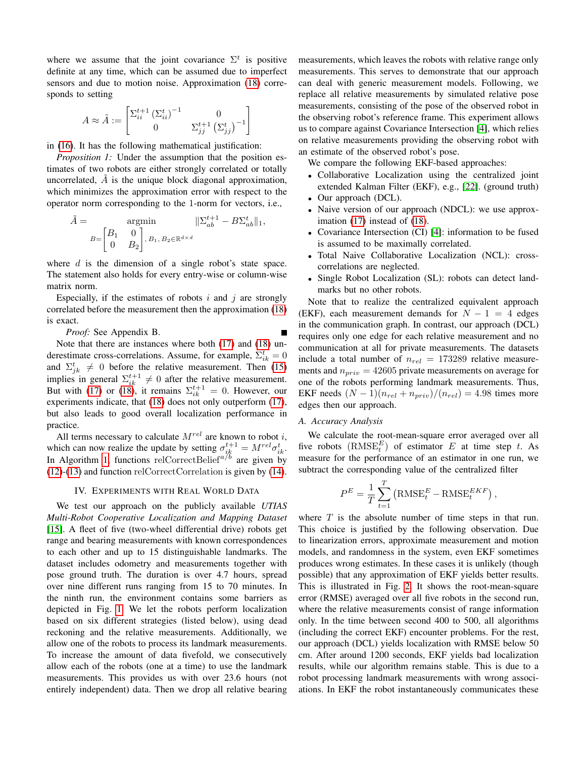where we assume that the joint covariance  $\Sigma^t$  is positive definite at any time, which can be assumed due to imperfect sensors and due to motion noise. Approximation [\(18\)](#page-3-4) corresponds to setting

$$
A\approx\tilde{A}:=\begin{bmatrix} \Sigma_{ii}^{t+1}\left(\Sigma_{ii}^{t}\right)^{-1} & 0\\ 0 & \Sigma_{jj}^{t+1}\left(\Sigma_{jj}^{t}\right)^{-1} \end{bmatrix}
$$

in [\(16\)](#page-3-5). It has the following mathematical justification:

<span id="page-4-0"></span>*Proposition 1:* Under the assumption that the position estimates of two robots are either strongly correlated or totally uncorrelated,  $A$  is the unique block diagonal approximation, which minimizes the approximation error with respect to the operator norm corresponding to the 1-norm for vectors, i.e.,

$$
\tilde{A} = \operatorname*{argmin}_{B = \begin{bmatrix} B_1 & 0 \\ 0 & B_2 \end{bmatrix}, B_1, B_2 \in \mathbb{R}^{d \times d}} ||\Sigma_{ab}^{t+1} - B \Sigma_{ab}^t||_1,
$$

where  $d$  is the dimension of a single robot's state space. The statement also holds for every entry-wise or column-wise matrix norm.

Especially, if the estimates of robots i and j are strongly correlated before the measurement then the approximation [\(18\)](#page-3-4) is exact.

*Proof:* See Appendix B.

Note that there are instances where both [\(17\)](#page-3-3) and [\(18\)](#page-3-4) underestimate cross-correlations. Assume, for example,  $\Sigma_{ik}^{t} = 0$ and  $\Sigma_{jk}^{t} \neq 0$  before the relative measurement. Then [\(15\)](#page-3-2) implies in general  $\Sigma_{ik}^{t+1} \neq 0$  after the relative measurement. But with [\(17\)](#page-3-3) or [\(18\)](#page-3-4), it remains  $\Sigma_{ik}^{t+1} = 0$ . However, our experiments indicate, that [\(18\)](#page-3-4) does not only outperform [\(17\)](#page-3-3), but also leads to good overall localization performance in practice.

All terms necessary to calculate  $M^{rel}$  are known to robot i, which can now realize the update by setting  $\sigma_{ik}^{t+1} = M^{rel} \sigma_{ik}^t$ . In Algorithm [1,](#page-2-0) functions relCorrectBelief<sup> $a/b$ </sup> are given by [\(12\)](#page-3-2)-[\(13\)](#page-3-2) and function relCorrectCorrelation is given by [\(14\)](#page-3-2).

### IV. EXPERIMENTS WITH REAL WORLD DATA

We test our approach on the publicly available *UTIAS Multi-Robot Cooperative Localization and Mapping Dataset* [\[15\]](#page-8-8). A fleet of five (two-wheel differential drive) robots get range and bearing measurements with known correspondences to each other and up to 15 distinguishable landmarks. The dataset includes odometry and measurements together with pose ground truth. The duration is over 4.7 hours, spread over nine different runs ranging from 15 to 70 minutes. In the ninth run, the environment contains some barriers as depicted in Fig. [1.](#page-0-0) We let the robots perform localization based on six different strategies (listed below), using dead reckoning and the relative measurements. Additionally, we allow one of the robots to process its landmark measurements. To increase the amount of data fivefold, we consecutively allow each of the robots (one at a time) to use the landmark measurements. This provides us with over 23.6 hours (not entirely independent) data. Then we drop all relative bearing measurements, which leaves the robots with relative range only measurements. This serves to demonstrate that our approach can deal with generic measurement models. Following, we replace all relative measurements by simulated relative pose measurements, consisting of the pose of the observed robot in the observing robot's reference frame. This experiment allows us to compare against Covariance Intersection [\[4\]](#page-8-17), which relies on relative measurements providing the observing robot with an estimate of the observed robot's pose.

We compare the following EKF-based approaches:

- Collaborative Localization using the centralized joint extended Kalman Filter (EKF), e.g., [\[22\]](#page-8-1). (ground truth)
- Our approach (DCL).
- Naive version of our approach (NDCL): we use approximation [\(17\)](#page-3-3) instead of [\(18\)](#page-3-4).
- Covariance Intersection (CI) [\[4\]](#page-8-17): information to be fused is assumed to be maximally correlated.
- Total Naive Collaborative Localization (NCL): crosscorrelations are neglected.
- Single Robot Localization (SL): robots can detect landmarks but no other robots.

Note that to realize the centralized equivalent approach (EKF), each measurement demands for  $N - 1 = 4$  edges in the communication graph. In contrast, our approach (DCL) requires only one edge for each relative measurement and no communication at all for private measurements. The datasets include a total number of  $n_{rel} = 173289$  relative measurements and  $n_{priv} = 42605$  private measurements on average for one of the robots performing landmark measurements. Thus, EKF needs  $(N-1)(n_{rel} + n_{priv})/(n_{rel}) = 4.98$  times more edges then our approach.

#### *A. Accuracy Analysis*

We calculate the root-mean-square error averaged over all five robots  $(RMSE_t^E)$  of estimator E at time step t. As measure for the performance of an estimator in one run, we subtract the corresponding value of the centralized filter

$$
P^{E} = \frac{1}{T} \sum_{t=1}^{T} (\text{RMSE}_{t}^{E} - \text{RMSE}_{t}^{EKF}),
$$

where  $T$  is the absolute number of time steps in that run. This choice is justified by the following observation. Due to linearization errors, approximate measurement and motion models, and randomness in the system, even EKF sometimes produces wrong estimates. In these cases it is unlikely (though possible) that any approximation of EKF yields better results. This is illustrated in Fig. [2.](#page-5-0) It shows the root-mean-square error (RMSE) averaged over all five robots in the second run, where the relative measurements consist of range information only. In the time between second 400 to 500, all algorithms (including the correct EKF) encounter problems. For the rest, our approach (DCL) yields localization with RMSE below 50 cm. After around 1200 seconds, EKF yields bad localization results, while our algorithm remains stable. This is due to a robot processing landmark measurements with wrong associations. In EKF the robot instantaneously communicates these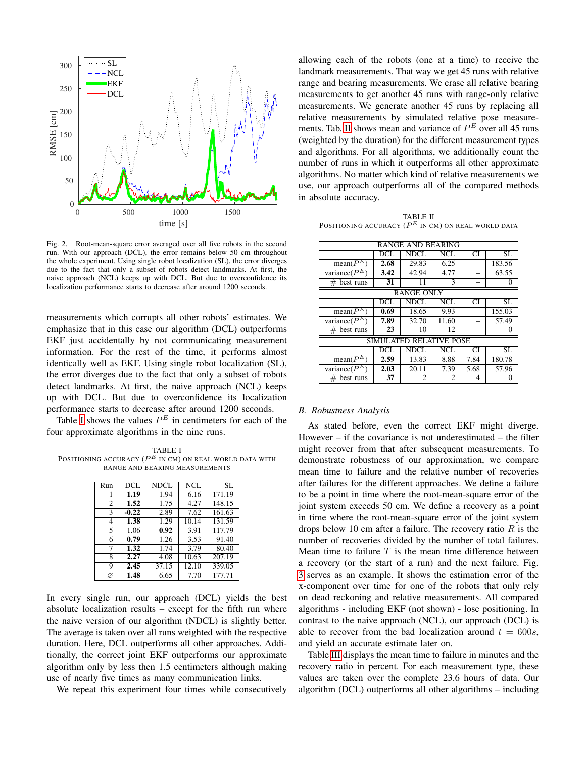

<span id="page-5-0"></span>Fig. 2. Root-mean-square error averaged over all five robots in the second run. With our approach (DCL), the error remains below 50 cm throughout the whole experiment. Using single robot localization (SL), the error diverges due to the fact that only a subset of robots detect landmarks. At first, the naive approach (NCL) keeps up with DCL. But due to overconfidence its localization performance starts to decrease after around 1200 seconds.

measurements which corrupts all other robots' estimates. We emphasize that in this case our algorithm (DCL) outperforms EKF just accidentally by not communicating measurement information. For the rest of the time, it performs almost identically well as EKF. Using single robot localization (SL), the error diverges due to the fact that only a subset of robots detect landmarks. At first, the naive approach (NCL) keeps up with DCL. But due to overconfidence its localization performance starts to decrease after around 1200 seconds.

Table [I](#page-5-1) shows the values  $P^E$  in centimeters for each of the four approximate algorithms in the nine runs.

<span id="page-5-1"></span>TABLE I POSITIONING ACCURACY  $(P^E$  in CM) on real world data with RANGE AND BEARING MEASUREMENTS

| Run            | DCL.              | NDCL. | NCL   | SL.    |
|----------------|-------------------|-------|-------|--------|
|                | 1.19              | 1.94  | 6.16  | 171.19 |
| $\overline{c}$ | 1.52              | 1.75  | 4.27  | 148.15 |
| 3              | $-0.22$           | 2.89  | 7.62  | 161.63 |
| 4              | 1.38              | 1.29  | 10.14 | 131.59 |
| 5              | 1.06              | 0.92  | 3.91  | 117.79 |
| 6              | 0.79              | 1.26  | 3.53  | 91.40  |
| 7              | $\overline{1,32}$ | 1.74  | 3.79  | 80.40  |
| 8              | 2.27              | 4.08  | 10.63 | 207.19 |
| Q              | 2.45              | 37.15 | 12.10 | 339.05 |
| Ø              | 1.48              | 6.65  | 7.70  | 177.71 |

In every single run, our approach (DCL) yields the best absolute localization results – except for the fifth run where the naive version of our algorithm (NDCL) is slightly better. The average is taken over all runs weighted with the respective duration. Here, DCL outperforms all other approaches. Additionally, the correct joint EKF outperforms our approximate algorithm only by less then 1.5 centimeters although making use of nearly five times as many communication links.

We repeat this experiment four times while consecutively

allowing each of the robots (one at a time) to receive the landmark measurements. That way we get 45 runs with relative range and bearing measurements. We erase all relative bearing measurements to get another 45 runs with range-only relative measurements. We generate another 45 runs by replacing all relative measurements by simulated relative pose measure-ments. Tab. [II](#page-5-2) shows mean and variance of  $P<sup>E</sup>$  over all 45 runs (weighted by the duration) for the different measurement types and algorithms. For all algorithms, we additionally count the number of runs in which it outperforms all other approximate algorithms. No matter which kind of relative measurements we use, our approach outperforms all of the compared methods in absolute accuracy.

<span id="page-5-2"></span>TABLE II POSITIONING ACCURACY  $(P^E$  in cm) on real world data

| <b>RANGE AND BEARING</b> |      |             |                         |      |              |  |  |
|--------------------------|------|-------------|-------------------------|------|--------------|--|--|
|                          | DCL  | <b>NDCL</b> | NCL                     | CI   | SL           |  |  |
| $mean(P^E)$              | 2.68 | 29.83       | 6.25                    |      | 183.56       |  |  |
| variance( $P^E$          | 3.42 | 42.94       | 4.77                    |      | 63.55        |  |  |
| $#$ best runs            | 31   | 11          | 3                       |      | 0            |  |  |
| <b>RANGE ONLY</b>        |      |             |                         |      |              |  |  |
|                          | DCL  | <b>NDCL</b> | $\overline{\text{NCL}}$ | CI   | SL           |  |  |
| $mean(P^E)$              | 0.69 | 18.65       | 9.93                    |      | 155.03       |  |  |
| variance( $P^E$          | 7.89 | 32.70       | 11.60                   |      | 57.49        |  |  |
| $#$ best runs            | 23   | 10          | 12                      |      | $\mathbf{0}$ |  |  |
| SIMULATED RELATIVE POSE  |      |             |                         |      |              |  |  |
|                          | DCL  | <b>NDCL</b> | NCL                     | CI   | SL           |  |  |
| $mean(P^E)$              | 2.59 | 13.83       | 8.88                    | 7.84 | 180.78       |  |  |
| variance( $P^E$          | 2.03 | 20.11       | 7.39                    | 5.68 | 57.96        |  |  |
| $#$ best runs            | 37   | 2           | 2                       | 4    |              |  |  |

## *B. Robustness Analysis*

As stated before, even the correct EKF might diverge. However  $-$  if the covariance is not underestimated  $-$  the filter might recover from that after subsequent measurements. To demonstrate robustness of our approximation, we compare mean time to failure and the relative number of recoveries after failures for the different approaches. We define a failure to be a point in time where the root-mean-square error of the joint system exceeds 50 cm. We define a recovery as a point in time where the root-mean-square error of the joint system drops below 10 cm after a failure. The recovery ratio  $R$  is the number of recoveries divided by the number of total failures. Mean time to failure  $T$  is the mean time difference between a recovery (or the start of a run) and the next failure. Fig. [3](#page-6-1) serves as an example. It shows the estimation error of the x-component over time for one of the robots that only rely on dead reckoning and relative measurements. All compared algorithms - including EKF (not shown) - lose positioning. In contrast to the naive approach (NCL), our approach (DCL) is able to recover from the bad localization around  $t = 600s$ , and yield an accurate estimate later on.

Table [III](#page-6-2) displays the mean time to failure in minutes and the recovery ratio in percent. For each measurement type, these values are taken over the complete 23.6 hours of data. Our algorithm (DCL) outperforms all other algorithms – including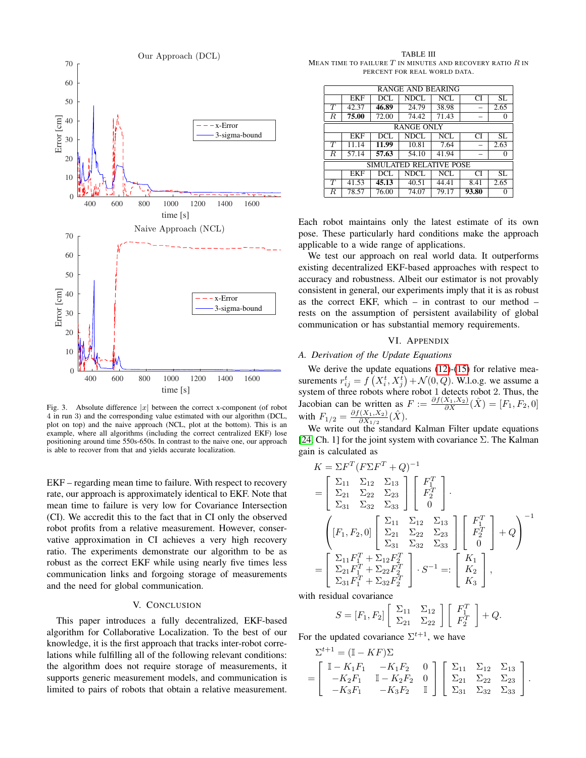

<span id="page-6-1"></span>Fig. 3. Absolute difference  $|x|$  between the correct x-component (of robot 4 in run 3) and the corresponding value estimated with our algorithm (DCL, plot on top) and the naive approach (NCL, plot at the bottom). This is an example, where all algorithms (including the correct centralized EKF) lose positioning around time 550s-650s. In contrast to the naive one, our approach is able to recover from that and yields accurate localization.

EKF – regarding mean time to failure. With respect to recovery rate, our approach is approximately identical to EKF. Note that mean time to failure is very low for Covariance Intersection (CI). We accredit this to the fact that in CI only the observed robot profits from a relative measurement. However, conservative approximation in CI achieves a very high recovery ratio. The experiments demonstrate our algorithm to be as robust as the correct EKF while using nearly five times less communication links and forgoing storage of measurements and the need for global communication.

# V. CONCLUSION

This paper introduces a fully decentralized, EKF-based algorithm for Collaborative Localization. To the best of our knowledge, it is the first approach that tracks inter-robot correlations while fulfilling all of the following relevant conditions: the algorithm does not require storage of measurements, it supports generic measurement models, and communication is limited to pairs of robots that obtain a relative measurement.

<span id="page-6-2"></span>TABLE III MEAN TIME TO FAILURE  $T$  in minutes and recovery ratio  $R$  in PERCENT FOR REAL WORLD DATA.

| RANGE AND BEARING       |            |       |       |       |       |         |  |  |  |
|-------------------------|------------|-------|-------|-------|-------|---------|--|--|--|
|                         | <b>EKF</b> | DCL   | NDCL  | NCL   | CI    | SL      |  |  |  |
| T                       | 42.37      | 46.89 | 24.79 | 38.98 |       | 2.65    |  |  |  |
| $\overline{R}$          | 75.00      | 72.00 | 74.42 | 71.43 |       | $^{()}$ |  |  |  |
| <b>RANGE ONLY</b>       |            |       |       |       |       |         |  |  |  |
|                         | <b>EKF</b> | DCL   | NDCL  | NCL   | CI    | SL.     |  |  |  |
| $\overline{T}$          | 11.14      | 11.99 | 10.81 | 7.64  |       | 2.63    |  |  |  |
| $\overline{R}$          | 57.14      | 57.63 | 54.10 | 41.94 |       | 0       |  |  |  |
| SIMULATED RELATIVE POSE |            |       |       |       |       |         |  |  |  |
|                         | <b>EKF</b> | DCL   | NDCL  | NCL   | CI    | SL      |  |  |  |
| $\overline{T}$          | 41.53      | 45.13 | 40.51 | 44.41 | 8.41  | 2.65    |  |  |  |
| R.                      | 78.57      | 76.00 | 74.07 | 79.17 | 93.80 | 0       |  |  |  |

Each robot maintains only the latest estimate of its own pose. These particularly hard conditions make the approach applicable to a wide range of applications.

We test our approach on real world data. It outperforms existing decentralized EKF-based approaches with respect to accuracy and robustness. Albeit our estimator is not provably consistent in general, our experiments imply that it is as robust as the correct EKF, which  $-$  in contrast to our method  $$ rests on the assumption of persistent availability of global communication or has substantial memory requirements.

#### VI. APPENDIX

## <span id="page-6-0"></span>*A. Derivation of the Update Equations*

We derive the update equations [\(12\)](#page-3-2)-[\(15\)](#page-3-2) for relative measurements  $r_{ij}^t = f(X_i^t, X_j^t) + \mathcal{N}(0, Q)$ . W.l.o.g. we assume a system of three robots where robot 1 detects robot 2. Thus, the Jacobian can be written as  $F := \frac{\partial f(X_1, X_2)}{\partial X} (\hat{X}) = [F_1, F_2, 0]$ with  $F_{1/2} = \frac{\partial f(X_1, X_2)}{\partial X_1}$  $\frac{\hat{C}(X_1,X_2)}{\partial X_{1/2}}(\hat{X}).$ 

We write out the standard Kalman Filter update equations [\[24,](#page-8-6) Ch. 1] for the joint system with covariance  $\Sigma$ . The Kalman gain is calculated as

$$
K = \Sigma F^T (F\Sigma F^T + Q)^{-1}
$$
  
= 
$$
\begin{bmatrix} \Sigma_{11} & \Sigma_{12} & \Sigma_{13} \\ \Sigma_{21} & \Sigma_{22} & \Sigma_{23} \\ \Sigma_{31} & \Sigma_{32} & \Sigma_{33} \end{bmatrix} \begin{bmatrix} F_1^T \\ F_2^T \\ 0 \end{bmatrix}.
$$
  

$$
\begin{bmatrix} [F_1, F_2, 0] & \Sigma_{21} & \Sigma_{22} & \Sigma_{23} \\ \Sigma_{31} & \Sigma_{32} & \Sigma_{33} \end{bmatrix} \begin{bmatrix} F_1^T \\ F_2^T \\ 0 \end{bmatrix} + Q
$$
  
= 
$$
\begin{bmatrix} \Sigma_{11} F_1^T + \Sigma_{12} F_2^T \\ \Sigma_{21} F_1^T + \Sigma_{22} F_2^T \\ \Sigma_{31} F_1^T + \Sigma_{32} F_2^T \end{bmatrix} \cdot S^{-1} =: \begin{bmatrix} K_1 \\ K_2 \\ K_3 \end{bmatrix},
$$

with residual covariance

$$
S = [F_1, F_2] \left[ \begin{array}{cc} \Sigma_{11} & \Sigma_{12} \\ \Sigma_{21} & \Sigma_{22} \end{array} \right] \left[ \begin{array}{c} F_1^T \\ F_2^T \end{array} \right] + Q.
$$

For the updated covariance  $\Sigma^{t+1}$ , we have

$$
\Sigma^{t+1} = (\mathbb{I} - KF)\Sigma
$$
  
= 
$$
\begin{bmatrix} \mathbb{I} - K_1F_1 & -K_1F_2 & 0 \\ -K_2F_1 & \mathbb{I} - K_2F_2 & 0 \\ -K_3F_1 & -K_3F_2 & \mathbb{I} \end{bmatrix} \begin{bmatrix} \Sigma_{11} & \Sigma_{12} & \Sigma_{13} \\ \Sigma_{21} & \Sigma_{22} & \Sigma_{23} \\ \Sigma_{31} & \Sigma_{32} & \Sigma_{33} \end{bmatrix}.
$$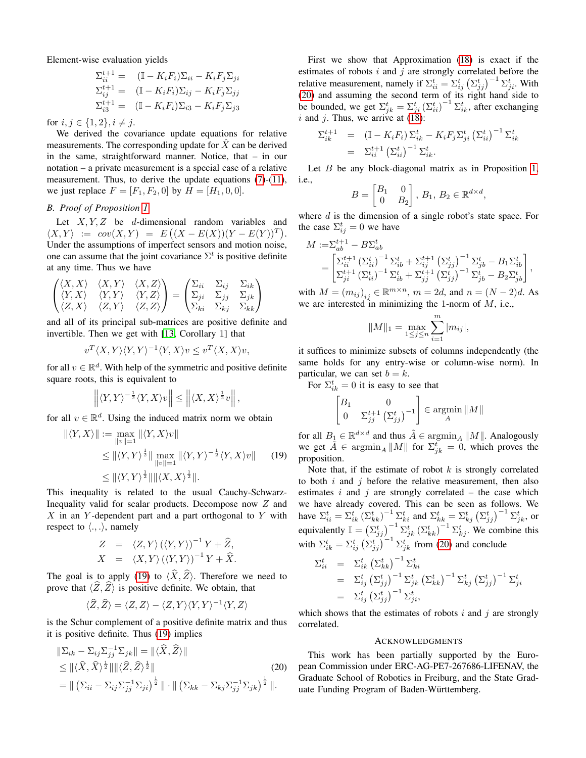Element-wise evaluation yields

$$
\Sigma_{ii}^{t+1} = (\mathbb{I} - K_i F_i) \Sigma_{ii} - K_i F_j \Sigma_{ji}
$$
  
\n
$$
\Sigma_{ij}^{t+1} = (\mathbb{I} - K_i F_i) \Sigma_{ij} - K_i F_j \Sigma_{jj}
$$
  
\n
$$
\Sigma_{i3}^{t+1} = (\mathbb{I} - K_i F_i) \Sigma_{i3} - K_i F_j \Sigma_{j3}
$$

for  $i, j \in \{1, 2\}, i \neq j$ .

We derived the covariance update equations for relative measurements. The corresponding update for  $\hat{X}$  can be derived in the same, straightforward manner. Notice, that – in our notation – a private measurement is a special case of a relative measurement. Thus, to derive the update equations [\(7\)](#page-2-3)-[\(11\)](#page-2-3), we just replace  $F = [F_1, F_2, 0]$  by  $H = [H_1, 0, 0]$ .

# *B. Proof of Proposition [1](#page-4-0)*

Let  $X, Y, Z$  be d-dimensional random variables and  $\langle X, Y \rangle := cov(X, Y) = E\left( (X - E(X))(Y - E(Y))^T \right).$ Under the assumptions of imperfect sensors and motion noise, one can assume that the joint covariance  $\Sigma^t$  is positive definite at any time. Thus we have

<span id="page-7-0"></span>
$$
\begin{pmatrix}\n\langle X, X \rangle & \langle X, Y \rangle & \langle X, Z \rangle \\
\langle Y, X \rangle & \langle Y, Y \rangle & \langle Y, Z \rangle \\
\langle Z, X \rangle & \langle Z, Y \rangle & \langle Z, Z \rangle\n\end{pmatrix} = \begin{pmatrix}\n\Sigma_{ii} & \Sigma_{ij} & \Sigma_{ik} \\
\Sigma_{ji} & \Sigma_{jj} & \Sigma_{jk} \\
\Sigma_{ki} & \Sigma_{kj} & \Sigma_{kk}\n\end{pmatrix}
$$

and all of its principal sub-matrices are positive definite and invertible. Then we get with [\[13,](#page-8-25) Corollary 1] that

$$
v^T \langle X, Y \rangle \langle Y, Y \rangle^{-1} \langle Y, X \rangle v \le v^T \langle X, X \rangle v,
$$

for all  $v \in \mathbb{R}^d$ . With help of the symmetric and positive definite square roots, this is equivalent to

$$
\left\| \langle Y, Y \rangle^{-\frac{1}{2}} \langle Y, X \rangle v \right\| \le \left\| \langle X, X \rangle^{\frac{1}{2}} v \right\|,
$$

for all  $v \in \mathbb{R}^d$ . Using the induced matrix norm we obtain

$$
\begin{aligned} \|\langle Y, X \rangle \| &:= \max_{\|v\|=1} \|\langle Y, X \rangle v\| \\ &\le \| \langle Y, Y \rangle^{\frac{1}{2}} \| \max_{\|v\|=1} \| \langle Y, Y \rangle^{-\frac{1}{2}} \langle Y, X \rangle v \| \\ &\le \| \langle Y, Y \rangle^{\frac{1}{2}} \| \| \langle X, X \rangle^{\frac{1}{2}} \| . \end{aligned} \tag{19}
$$

This inequality is related to the usual Cauchy-Schwarz-Inequality valid for scalar products. Decompose now Z and  $X$  in an Y-dependent part and a part orthogonal to Y with respect to  $\langle ., . \rangle$ , namely

$$
Z = \langle Z, Y \rangle (\langle Y, Y \rangle)^{-1} Y + \hat{Z},
$$
  

$$
X = \langle X, Y \rangle (\langle Y, Y \rangle)^{-1} Y + \hat{X}.
$$

The goal is to apply [\(19\)](#page-7-0) to  $\langle \hat{X}, \hat{Z} \rangle$ . Therefore we need to prove that  $\langle \hat{Z}, \hat{Z} \rangle$  is positive definite. We obtain, that

$$
\langle \widehat{Z}, \widehat{Z} \rangle = \langle Z, Z \rangle - \langle Z, Y \rangle \langle Y, Y \rangle^{-1} \langle Y, Z \rangle
$$

is the Schur complement of a positive definite matrix and thus it is positive definite. Thus [\(19\)](#page-7-0) implies

$$
\|\Sigma_{ik} - \Sigma_{ij}\Sigma_{jj}^{-1}\Sigma_{jk}\| = \|\langle \widehat{X}, \widehat{Z} \rangle\|
$$
  
\n
$$
\leq \| \langle \widehat{X}, \widehat{X} \rangle^{\frac{1}{2}} \|\| \langle \widehat{Z}, \widehat{Z} \rangle^{\frac{1}{2}}\|
$$
\n
$$
= \| \left( \Sigma_{ii} - \Sigma_{ij}\Sigma_{jj}^{-1}\Sigma_{ji} \right)^{\frac{1}{2}} \| \cdot \| \left( \Sigma_{kk} - \Sigma_{kj}\Sigma_{jj}^{-1}\Sigma_{jk} \right)^{\frac{1}{2}} \|.
$$
\n(20)

First we show that Approximation [\(18\)](#page-3-4) is exact if the estimates of robots  $i$  and  $j$  are strongly correlated before the relative measurement, namely if  $\Sigma_{ii}^t = \Sigma_{ij}^t (\Sigma_{jj}^t)^{-1} \Sigma_{ji}^t$ . With [\(20\)](#page-7-1) and assuming the second term of its right hand side to be bounded, we get  $\Sigma_{jk}^{t} = \Sigma_{ji}^{t} (\Sigma_{ii}^{t})^{-1} \Sigma_{ik}^{t}$ , after exchanging  $i$  and  $j$ . Thus, we arrive at  $(18)$ :

$$
\Sigma_{ik}^{t+1} = (\mathbb{I} - K_i F_i) \Sigma_{ik}^t - K_i F_j \Sigma_{ji}^t (\Sigma_{ii}^t)^{-1} \Sigma_{ik}^t
$$
  
=  $\Sigma_{ii}^{t+1} (\Sigma_{ii}^t)^{-1} \Sigma_{ik}^t$ .

Let  $B$  be any block-diagonal matrix as in Proposition [1,](#page-4-0) i.e.,

$$
B = \begin{bmatrix} B_1 & 0 \\ 0 & B_2 \end{bmatrix}, B_1, B_2 \in \mathbb{R}^{d \times d},
$$

where  $d$  is the dimension of a single robot's state space. For the case  $\Sigma_{ij}^t = 0$  we have

$$
M := \sum_{ab}^{t+1} - B \sum_{ab}^{t} = \begin{bmatrix} \sum_{ii}^{t+1} \left( \sum_{ij}^{t+1} \right)^{-1} \sum_{ib}^{t} + \sum_{ij}^{t+1} \left( \sum_{jj}^{t} \right)^{-1} \sum_{jb}^{t} - B_1 \sum_{ib}^{t} \\ \sum_{ji}^{t+1} \left( \sum_{ii}^{t+1} \right)^{-1} \sum_{ib}^{t} + \sum_{jj}^{t+1} \left( \sum_{jj}^{t} \right)^{-1} \sum_{jb}^{t} - B_2 \sum_{jb}^{t} \end{bmatrix},
$$

with  $M = (m_{ij})_{ij} \in \mathbb{R}^{m \times n}$ ,  $m = 2d$ , and  $n = (N - 2)d$ . As we are interested in minimizing the 1-norm of  $M$ , i.e.,

$$
||M||_1 = \max_{1 \le j \le n} \sum_{i=1}^m |m_{ij}|,
$$

it suffices to minimize subsets of columns independently (the same holds for any entry-wise or column-wise norm). In particular, we can set  $b = k$ .

For  $\Sigma_{ik}^t = 0$  it is easy to see that

$$
\begin{bmatrix} B_1 & 0\\ 0 & \Sigma_{jj}^{t+1} \left( \Sigma_{jj}^t \right)^{-1} \end{bmatrix} \in \operatorname*{argmin}_A \|M\|
$$

for all  $B_1 \in \mathbb{R}^{d \times d}$  and thus  $\tilde{A} \in \text{argmin}_A ||M||$ . Analogously we get  $\tilde{A} \in \operatorname{argmin}_A ||M||$  for  $\Sigma_{jk}^t = 0$ , which proves the proposition.

Note that, if the estimate of robot  $k$  is strongly correlated to both  $i$  and  $j$  before the relative measurement, then also estimates i and j are strongly correlated – the case which we have already covered. This can be seen as follows. We have  $\Sigma_{ii}^t = \Sigma_{ik}^t (\Sigma_{kk}^t)^{-1} \Sigma_{ki}^t$  and  $\Sigma_{kk}^t = \Sigma_{kj}^t (\Sigma_{jj}^t)^{-1} \Sigma_{jk}^t$ , or equivalently  $\mathbb{I} = (\Sigma_{jj}^t)^{-1} \Sigma_{jk}^t (\Sigma_{kk}^t)^{-1} \Sigma_{kj}^t$ . We combine this with  $\Sigma_{ik}^t = \Sigma_{ij}^t (\Sigma_{jj}^t)^{-1} \Sigma_{jk}^t$  from [\(20\)](#page-7-1) and conclude

$$
\begin{array}{rcl} \Sigma_{ii}^t & = & \Sigma_{ik}^t \left( \Sigma_{kk}^t \right)^{-1} \Sigma_{ki}^t \\ & = & \Sigma_{ij}^t \left( \Sigma_{jj}^t \right)^{-1} \Sigma_{jk}^t \left( \Sigma_{kk}^t \right)^{-1} \Sigma_{kj}^t \left( \Sigma_{jj}^t \right)^{-1} \Sigma_{ji}^t \\ & = & \Sigma_{ij}^t \left( \Sigma_{jj}^t \right)^{-1} \Sigma_{ji}^t, \end{array}
$$

which shows that the estimates of robots  $i$  and  $j$  are strongly correlated.

#### ACKNOWLEDGMENTS

<span id="page-7-1"></span>This work has been partially supported by the European Commission under ERC-AG-PE7-267686-LIFENAV, the Graduate School of Robotics in Freiburg, and the State Graduate Funding Program of Baden-Württemberg.